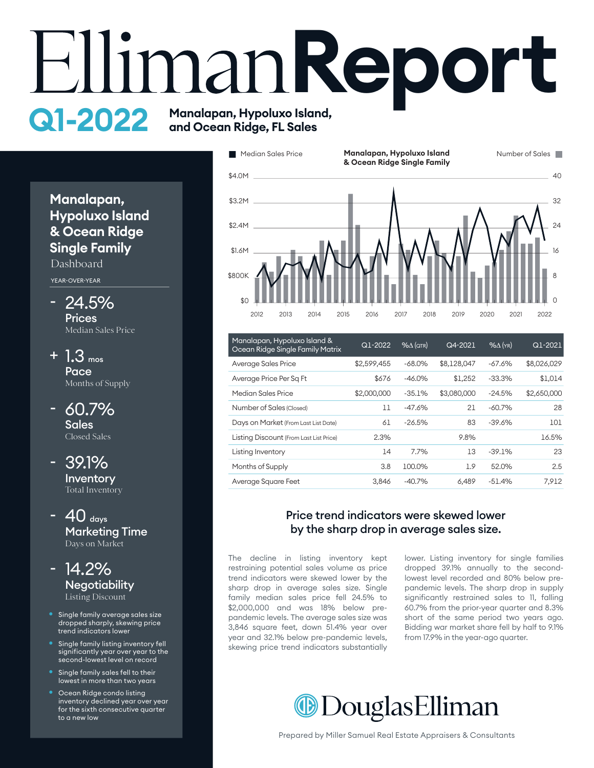# **EllimanReport Q1-2022** Manalapan, Hypoluxo Island,



| Manalapan, Hypoluxo Island &<br>Ocean Ridge Single Family Matrix | Q1-2022<br>$% \triangle (QTR)$ |          | Q4-2021     | $%$ $\Delta$ (YR) | Q1-2021     |  |
|------------------------------------------------------------------|--------------------------------|----------|-------------|-------------------|-------------|--|
| Average Sales Price                                              | \$2.599.455                    | $-68.0%$ | \$8,128,047 | $-67.6%$          | \$8,026,029 |  |
| Average Price Per Sq Ft                                          | \$676                          | $-46.0%$ | \$1.252     | $-33.3%$          | \$1,014     |  |
| Median Sales Price                                               | \$2,000,000                    | $-35.1%$ | \$3,080,000 | $-24.5%$          | \$2,650,000 |  |
| Number of Sales (Closed)                                         | $_{11}$                        | $-47.6%$ | 21          | $-60.7%$          | 28          |  |
| Days on Market (From Last List Date)                             | 61                             | $-26.5%$ | 83          | $-39.6%$          | 101         |  |
| Listing Discount (From Last List Price)                          | 2.3%                           |          | 9.8%        |                   | 16.5%       |  |
| Listing Inventory                                                | 14                             | 7.7%     | 13          | $-39.1%$          | 23          |  |
| Months of Supply                                                 | 3.8                            | 100.0%   | 1.9         | 52.0%             | 2.5         |  |
| Average Square Feet                                              | 3.846                          | $-40.7%$ | 6.489       | $-51.4%$          | 7.912       |  |

#### Price trend indicators were skewed lower by the sharp drop in average sales size.

The decline in listing inventory kept restraining potential sales volume as price trend indicators were skewed lower by the sharp drop in average sales size. Single family median sales price fell 24.5% to \$2,000,000 and was 18% below prepandemic levels. The average sales size was 3,846 square feet, down 51.4% year over year and 32.1% below pre-pandemic levels, skewing price trend indicators substantially lower. Listing inventory for single families dropped 39.1% annually to the secondlowest level recorded and 80% below prepandemic levels. The sharp drop in supply significantly restrained sales to 11, falling 60.7% from the prior-year quarter and 8.3% short of the same period two years ago. Bidding war market share fell by half to 9.1% from 17.9% in the year-ago quarter.



#### Prepared by Miller Samuel Real Estate Appraisers & Consultants

#### **Manalapan, Hypoluxo Island & Ocean Ridge Single Family** Dashboard

YEAR-OVER-YEAR

- 24.5% **Prices** Median Sales Price
- $+ 1.3$  mos **Pace** Months of Supply
- 60.7% **Sales** Closed Sales
- 39.1% **Inventory** Total Inventory
- $40$  days Marketing Time Days on Market



- Single family average sales size dropped sharply, skewing price trend indicators lower
- Single family listing inventory fell significantly year over year to the second-lowest level on record
- Single family sales fell to their lowest in more than two years
- **Ocean Ridge condo listing** inventory declined year over year for the sixth consecutive quarter to a new low